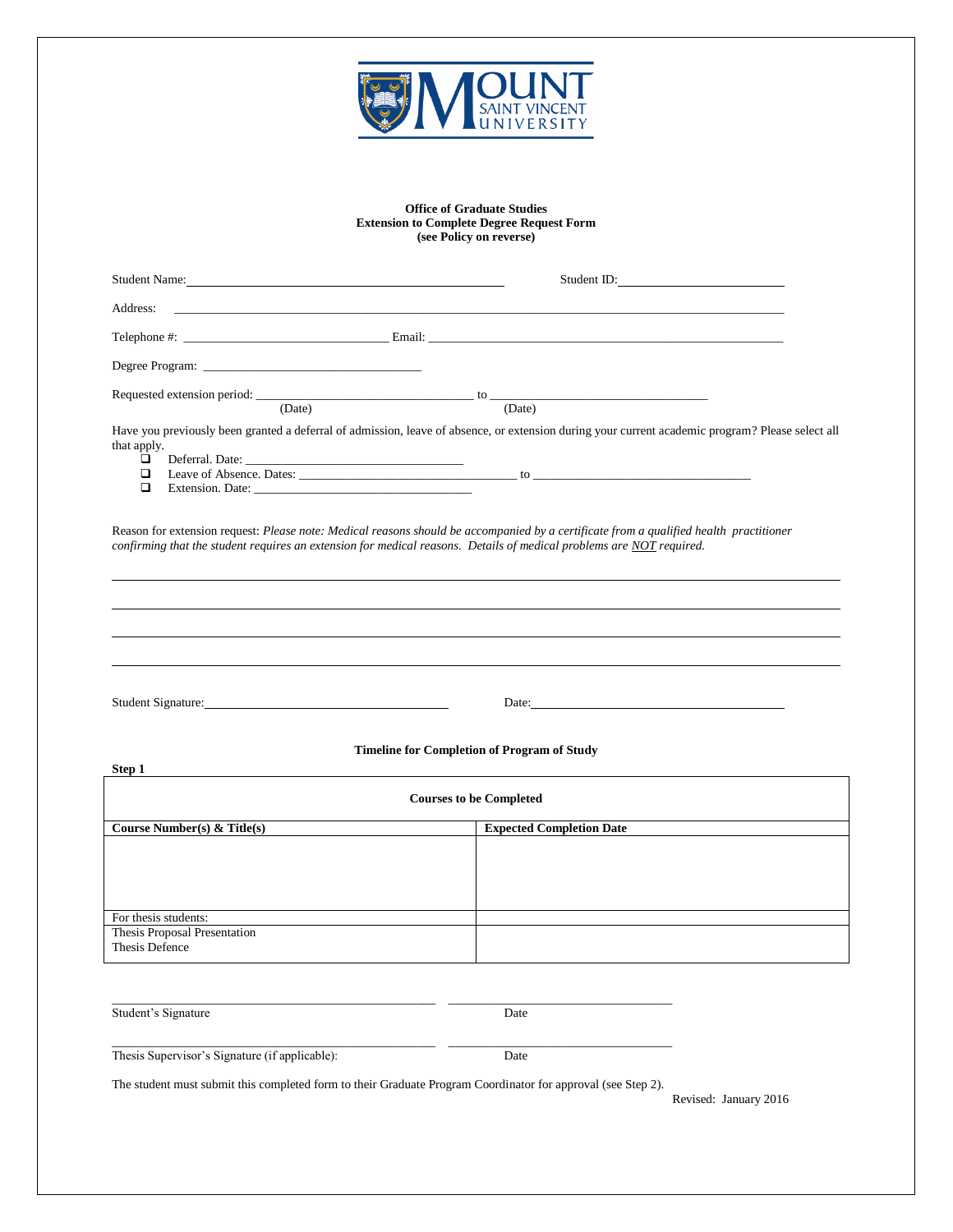

## **Office of Graduate Studies Extension to Complete Degree Request Form (see Policy on reverse)**

|                            |                                                                                                                      |        | Student ID:                                                                                                                                      |
|----------------------------|----------------------------------------------------------------------------------------------------------------------|--------|--------------------------------------------------------------------------------------------------------------------------------------------------|
|                            |                                                                                                                      |        |                                                                                                                                                  |
|                            |                                                                                                                      |        |                                                                                                                                                  |
|                            |                                                                                                                      |        |                                                                                                                                                  |
|                            | (Date)                                                                                                               | (Date) |                                                                                                                                                  |
| that apply.<br>□<br>□<br>◻ | Extension. Date:                                                                                                     |        | Have you previously been granted a deferral of admission, leave of absence, or extension during your current academic program? Please select all |
|                            | confirming that the student requires an extension for medical reasons. Details of medical problems are NOT required. |        | Reason for extension request: Please note: Medical reasons should be accompanied by a certificate from a qualified health practitioner           |
|                            |                                                                                                                      |        |                                                                                                                                                  |

Student Signature: Date:

## **Timeline for Completion of Program of Study**

| Step 1                                         |                                 |  |  |  |  |
|------------------------------------------------|---------------------------------|--|--|--|--|
| <b>Courses to be Completed</b>                 |                                 |  |  |  |  |
| Course Number(s) & Title(s)                    | <b>Expected Completion Date</b> |  |  |  |  |
|                                                |                                 |  |  |  |  |
| For thesis students:                           |                                 |  |  |  |  |
| Thesis Proposal Presentation<br>Thesis Defence |                                 |  |  |  |  |

Student's Signature Date

Thesis Supervisor's Signature (if applicable): Date

\_\_\_\_\_\_\_\_\_\_\_\_\_\_\_\_\_\_\_\_\_\_\_\_\_\_\_\_\_\_\_\_\_\_\_\_\_\_\_\_\_\_\_\_\_\_\_\_\_\_\_\_ \_\_\_\_\_\_\_\_\_\_\_\_\_\_\_\_\_\_\_\_\_\_\_\_\_\_\_\_\_\_\_\_\_\_\_\_

The student must submit this completed form to their Graduate Program Coordinator for approval (see Step 2).

\_\_\_\_\_\_\_\_\_\_\_\_\_\_\_\_\_\_\_\_\_\_\_\_\_\_\_\_\_\_\_\_\_\_\_\_\_\_\_\_\_\_\_\_\_\_\_\_\_\_\_\_ \_\_\_\_\_\_\_\_\_\_\_\_\_\_\_\_\_\_\_\_\_\_\_\_\_\_\_\_\_\_\_\_\_\_\_\_

Revised: January 2016